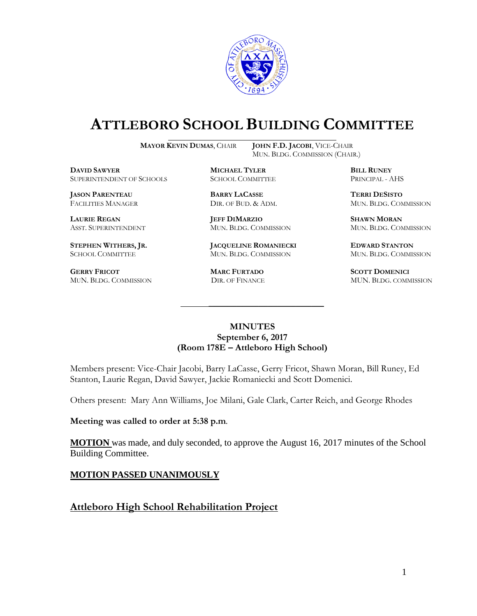

# **ATTLEBORO SCHOOL BUILDING COMMITTEE**

**MAYOR KEVIN DUMAS**, CHAIR **JOHN F.D. JACOBI**, VICE-CHAIR

MUN. BLDG. COMMISSION (CHAIR.)

**DAVID SAWYER MICHAEL TYLER BILL RUNEY** SUPERINTENDENT OF SCHOOLS SCHOOL COMMITTEE PRINCIPAL - AHS

**JASON PARENTEAU BARRY LACASSE TERRI DESISTO**

**GERRY FRICOT MARC FURTADO SCOTT DOMENICI** 

**LAURIE REGAN JEFF DIMARZIO SHAWN MORAN**

**STEPHEN WITHERS, JR. JACQUELINE ROMANIECKI EDWARD STANTON** SCHOOL COMMITTEE MUN. BLDG. COMMISSION MUN. BLDG. COMMISSION

FACILITIES MANAGER DIR. OF BUD. & ADM. MUN. BLDG. COMMISSION

ASST. SUPERINTENDENT MUN. BLDG. COMMISSION MUN. BLDG. COMMISSION

MUN. BLDG. COMMISSION DIR. OF FINANCE MUN. BLDG. COMMISSION

#### **MINUTES September 6, 2017 (Room 178E – Attleboro High School)**

\_\_\_\_\_\_\_\_\_\_\_\_\_\_\_\_\_\_\_\_\_\_\_\_\_\_\_\_\_\_\_\_\_\_\_\_\_

Members present: Vice-Chair Jacobi, Barry LaCasse, Gerry Fricot, Shawn Moran, Bill Runey, Ed Stanton, Laurie Regan, David Sawyer, Jackie Romaniecki and Scott Domenici.

Others present: Mary Ann Williams, Joe Milani, Gale Clark, Carter Reich, and George Rhodes

**Meeting was called to order at 5:38 p.m**.

**MOTION** was made, and duly seconded, to approve the August 16, 2017 minutes of the School Building Committee.

### **MOTION PASSED UNANIMOUSLY**

**Attleboro High School Rehabilitation Project**